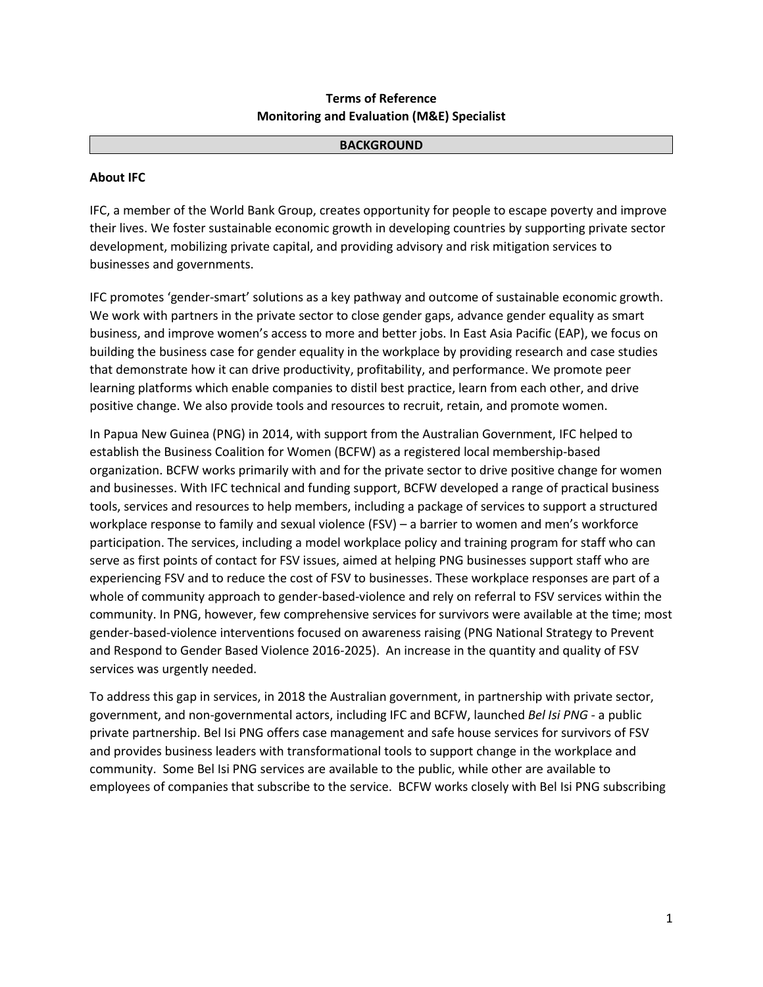# **Terms of Reference Monitoring and Evaluation (M&E) Specialist**

#### **BACKGROUND**

## **About IFC**

IFC, a member of the World Bank Group, creates opportunity for people to escape poverty and improve their lives. We foster sustainable economic growth in developing countries by supporting private sector development, mobilizing private capital, and providing advisory and risk mitigation services to businesses and governments.

IFC promotes 'gender-smart' solutions as a key pathway and outcome of sustainable economic growth. We work with partners in the private sector to close gender gaps, advance gender equality as smart business, and improve women's access to more and better jobs. In East Asia Pacific (EAP), we focus on building the business case for gender equality in the workplace by providing research and case studies that demonstrate how it can drive productivity, profitability, and performance. We promote peer learning platforms which enable companies to distil best practice, learn from each other, and drive positive change. We also provide tools and resources to recruit, retain, and promote women.

In Papua New Guinea (PNG) in 2014, with support from the Australian Government, IFC helped to establish the Business Coalition for Women (BCFW) as a registered local membership-based organization. BCFW works primarily with and for the private sector to drive positive change for women and businesses. With IFC technical and funding support, BCFW developed a range of practical business tools, services and resources to help members, including a package of services to support a structured workplace response to family and sexual violence (FSV) – a barrier to women and men's workforce participation. The services, including a model workplace policy and training program for staff who can serve as first points of contact for FSV issues, aimed at helping PNG businesses support staff who are experiencing FSV and to reduce the cost of FSV to businesses. These workplace responses are part of a whole of community approach to gender-based-violence and rely on referral to FSV services within the community. In PNG, however, few comprehensive services for survivors were available at the time; most gender-based-violence interventions focused on awareness raising (PNG National Strategy to Prevent and Respond to Gender Based Violence 2016-2025). An increase in the quantity and quality of FSV services was urgently needed.

To address this gap in services, in 2018 the Australian government, in partnership with private sector, government, and non-governmental actors, including IFC and BCFW, launched *Bel Isi PNG -* a public private partnership. Bel Isi PNG offers case management and safe house services for survivors of FSV and provides business leaders with transformational tools to support change in the workplace and community. Some Bel Isi PNG services are available to the public, while other are available to employees of companies that subscribe to the service. BCFW works closely with Bel Isi PNG subscribing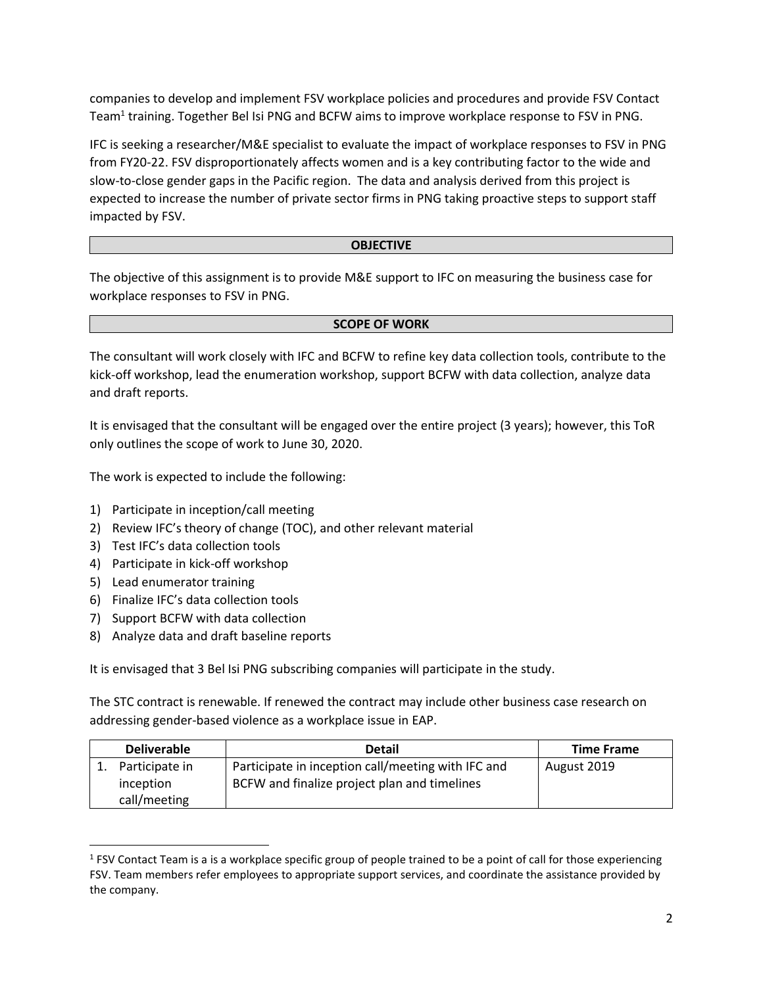companies to develop and implement FSV workplace policies and procedures and provide FSV Contact Team<sup>1</sup> training. Together Bel Isi PNG and BCFW aims to improve workplace response to FSV in PNG.

IFC is seeking a researcher/M&E specialist to evaluate the impact of workplace responses to FSV in PNG from FY20-22. FSV disproportionately affects women and is a key contributing factor to the wide and slow-to-close gender gaps in the Pacific region. The data and analysis derived from this project is expected to increase the number of private sector firms in PNG taking proactive steps to support staff impacted by FSV.

## **OBJECTIVE**

The objective of this assignment is to provide M&E support to IFC on measuring the business case for workplace responses to FSV in PNG.

### **SCOPE OF WORK**

The consultant will work closely with IFC and BCFW to refine key data collection tools, contribute to the kick-off workshop, lead the enumeration workshop, support BCFW with data collection, analyze data and draft reports.

It is envisaged that the consultant will be engaged over the entire project (3 years); however, this ToR only outlines the scope of work to June 30, 2020.

The work is expected to include the following:

- 1) Participate in inception/call meeting
- 2) Review IFC's theory of change (TOC), and other relevant material
- 3) Test IFC's data collection tools
- 4) Participate in kick-off workshop
- 5) Lead enumerator training

 $\overline{a}$ 

- 6) Finalize IFC's data collection tools
- 7) Support BCFW with data collection
- 8) Analyze data and draft baseline reports

It is envisaged that 3 Bel Isi PNG subscribing companies will participate in the study.

The STC contract is renewable. If renewed the contract may include other business case research on addressing gender-based violence as a workplace issue in EAP.

| <b>Deliverable</b>                          | <b>Detail</b>                                                                                      | <b>Time Frame</b> |
|---------------------------------------------|----------------------------------------------------------------------------------------------------|-------------------|
| Participate in<br>inception<br>call/meeting | Participate in inception call/meeting with IFC and<br>BCFW and finalize project plan and timelines | August 2019       |

<sup>&</sup>lt;sup>1</sup> FSV Contact Team is a is a workplace specific group of people trained to be a point of call for those experiencing FSV. Team members refer employees to appropriate support services, and coordinate the assistance provided by the company.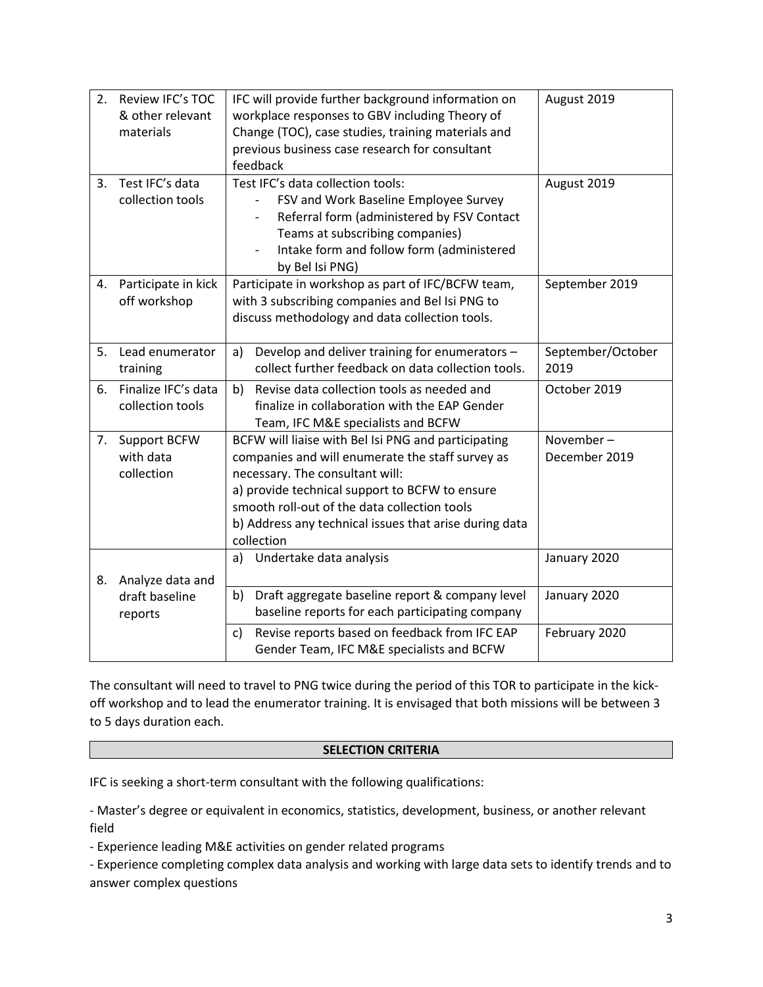| 2. | Review IFC's TOC    | IFC will provide further background information on     | August 2019       |
|----|---------------------|--------------------------------------------------------|-------------------|
|    | & other relevant    | workplace responses to GBV including Theory of         |                   |
|    | materials           | Change (TOC), case studies, training materials and     |                   |
|    |                     | previous business case research for consultant         |                   |
|    |                     | feedback                                               |                   |
| 3. | Test IFC's data     | Test IFC's data collection tools:                      | August 2019       |
|    | collection tools    | FSV and Work Baseline Employee Survey                  |                   |
|    |                     | Referral form (administered by FSV Contact             |                   |
|    |                     | Teams at subscribing companies)                        |                   |
|    |                     | Intake form and follow form (administered              |                   |
|    |                     | by Bel Isi PNG)                                        |                   |
| 4. | Participate in kick | Participate in workshop as part of IFC/BCFW team,      | September 2019    |
|    | off workshop        | with 3 subscribing companies and Bel Isi PNG to        |                   |
|    |                     | discuss methodology and data collection tools.         |                   |
|    |                     |                                                        |                   |
| 5. | Lead enumerator     | Develop and deliver training for enumerators -<br>a)   | September/October |
|    | training            | collect further feedback on data collection tools.     | 2019              |
| 6. | Finalize IFC's data | b)<br>Revise data collection tools as needed and       | October 2019      |
|    | collection tools    | finalize in collaboration with the EAP Gender          |                   |
|    |                     | Team, IFC M&E specialists and BCFW                     |                   |
| 7. | Support BCFW        | BCFW will liaise with Bel Isi PNG and participating    | November-         |
|    | with data           | companies and will enumerate the staff survey as       | December 2019     |
|    | collection          | necessary. The consultant will:                        |                   |
|    |                     | a) provide technical support to BCFW to ensure         |                   |
|    |                     | smooth roll-out of the data collection tools           |                   |
|    |                     | b) Address any technical issues that arise during data |                   |
|    |                     | collection                                             |                   |
|    |                     | Undertake data analysis<br>a)                          | January 2020      |
| 8. | Analyze data and    |                                                        |                   |
|    | draft baseline      | Draft aggregate baseline report & company level<br>b)  | January 2020      |
|    | reports             | baseline reports for each participating company        |                   |
|    |                     | Revise reports based on feedback from IFC EAP<br>c)    | February 2020     |
|    |                     | Gender Team, IFC M&E specialists and BCFW              |                   |
|    |                     |                                                        |                   |

The consultant will need to travel to PNG twice during the period of this TOR to participate in the kickoff workshop and to lead the enumerator training. It is envisaged that both missions will be between 3 to 5 days duration each.

## **SELECTION CRITERIA**

IFC is seeking a short-term consultant with the following qualifications:

- Master's degree or equivalent in economics, statistics, development, business, or another relevant field

- Experience leading M&E activities on gender related programs

- Experience completing complex data analysis and working with large data sets to identify trends and to answer complex questions